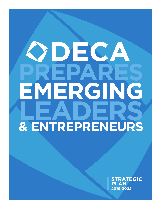# DEC, ERGI H & ENTREPRENEURS

**STRATEGIC PLAN 2019-2022**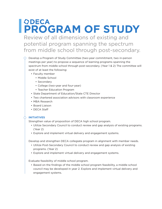## **ODECA PROGRAM OF STUDY**

Review of all dimensions of existing and potential program spanning the spectrum from middle school through post-secondary.

- Develop a Program of Study Committee (two-year commitment, two in-person meetings per year) to propose a sequence of learning programs spanning the spectrum from middle school through post-secondary. (Year 1 & 2) The committee will exist of at least the following:
	- Faculty member
		- Middle School
		- Secondary
		- College (two-year and four-year)
		- Teacher Education Program
	- State Department of Education/State CTE Director
	- Two chartered association advisors with classroom experience
	- MBA Research
	- Board Liaison
	- DECA Staff

#### **INITIATIVES**

Strengthen value of proposition of DECA high school program.

- Utilize Secondary Council to conduct review and gap analysis of existing programs. (Year 2)
- Explore and implement virtual delivery and engagement systems.

Develop and strengthen DECA collegiate program in alignment with member needs.

- Utilize Post-Secondary Council to conduct review and gap analysis of existing programs. (Year 2)
- Explore and implement virtual delivery and engagement systems.

Evaluate feasibility of middle school program.

• Based on the findings of the middle school program feasibility, a middle school council may be developed in year 2. Explore and implement virtual delivery and engagement systems.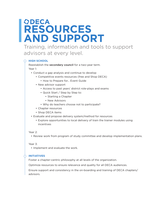## **ODECA RESOURCES AND SUPPORT**

Training, information and tools to support advisors at every level.

#### **HIGH SCHOOL**

Reestablish the secondary council for a two-year term. Year 1:

- Conduct a gap analysis and continue to develop
	- Competitive events resources (free and Shop DECA)
		- How to Prepare for… Event Guide
	- New advisor support
		- Access to past years' district role-plays and exams
		- Quick Start / Step by Step to:
			- Starting a Chapter
			- New Advisors
		- Why do teachers choose not to participate?
	- Chapter resources
	- Shop DECA items
- Evaluate and propose delivery system/method for resources
	- Explore opportunities to local delivery of train the trainer modules using incentives

#### Year 2:

• Review work from program of study committee and develop implementation plans.

#### Year 3:

• Implement and evaluate the work.

#### **INITIATIVES**

Foster a chapter-centric philosophy at all levels of the organization.

Optimize resources to ensure relevance and quality for all DECA audiences.

Ensure support and consistency in the on-boarding and training of DECA chapters/ advisors.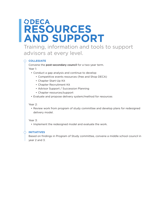## **RESOURCES AND SUPPORT**

Training, information and tools to support advisors at every level.

#### **COLLEGIATE**

Convene the post-secondary council for a two-year term. Year 1:

- Conduct a gap analysis and continue to develop
	- Competitive events resources (free and Shop DECA)
	- Chapter Start-Up Kit
	- Chapter Recruitment Kit
	- Advisor Support / Succession Planning
	- Chapter resources/support
- Evaluate and propose delivery system/method for resources

#### Year 2:

• Review work from program of study committee and develop plans for redesigned delivery model.

#### Year 3:

• Implement the redesigned model and evaluate the work.

#### **INITIATIVES**

Based on findings in Program of Study committee, convene a middle school council in year 2 and 3.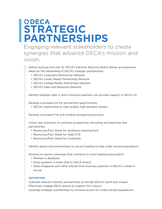## **ODECA STRATEGIC PARTNERSHIPS**

Engaging relevant stakeholders to create synergies that advance DECA's mission and vision.

#### $\bigcirc$  Define purpose and role for DECA's National Advisory Board. Below are proposed ideas for the rebranding of DECA's strategic partnerships.

- DECA's Corporate Partnership Network
- DECA's Career Ready Partnership Network
- DECA's College Ready Partnership Network
- DECA's Sales and Resource Network

Identify tangible roles in which business partners can provide support to DECA Inc.

Develop a prospect kit for partnership opportunities.

• DECA's relationship to high quality, high demand careers

Develop a prospect list and conduct prospecting process.

Utilize new resources to continue prospecting, recruiting and retaining new partnerships.

- Resources/Fact Sheet for workforce development
- Resources/Fact Sheet for State CTE
- Resources/Fact Sheet for Corporate

Identify grants and partnerships to secure funding to help under served populations.

Develop an alumni campaign that connects to local chapters/association.

- Maintain a database
- Send quarterly e-mails (link to DECA Direct)
- Share magazine and other articles from business partners in DECA's Linked In Group.

#### **INITIATIVES**

Cultivate relevant industry partnerships to elevate DECA's reach and impact. Effectively engage DECA alumni to support the mission.

Leverage strategic partnerships to increase access for under-served populations.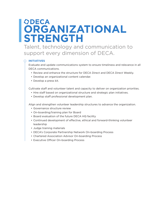## **ODECA ORGANIZATIONAL STRENGTH**

Talent, technology and communication to support every dimension of DECA.

#### **INITIATIVES**

Evaluate and update communications system to ensure timeliness and relevance in all DECA communications.

- Review and enhance the structure for DECA Direct and DECA Direct Weekly.
- Develop an organizational content calendar.
- Develop a press kit.

Cultivate staff and volunteer talent and capacity to deliver on organization priorities.

- Hire staff based on organizational structure and strategic plan initiatives.
- Develop staff professional development plan.

Align and strengthen volunteer leadership structures to advance the organization.

- Governance structure review
- On-boarding/training plan for Board
- Board evaluation of the future DECA HQ facility
- Continued development of effective, ethical and forward-thinking volunteer leadership
- Judge training materials
- DECA's Corporate Partnership Network On-boarding Process
- Chartered Association Advisor On-boarding Process
- Executive Officer On-boarding Process